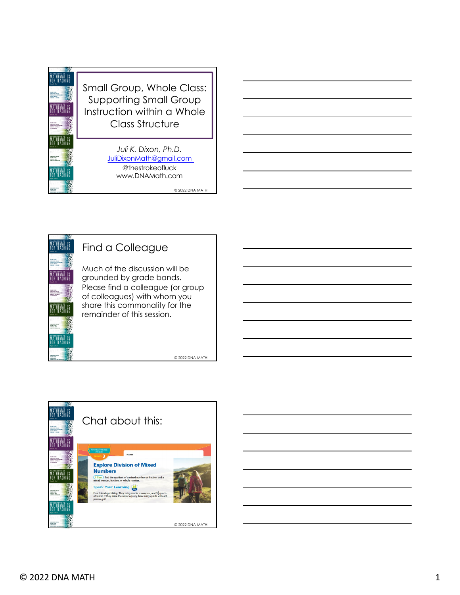



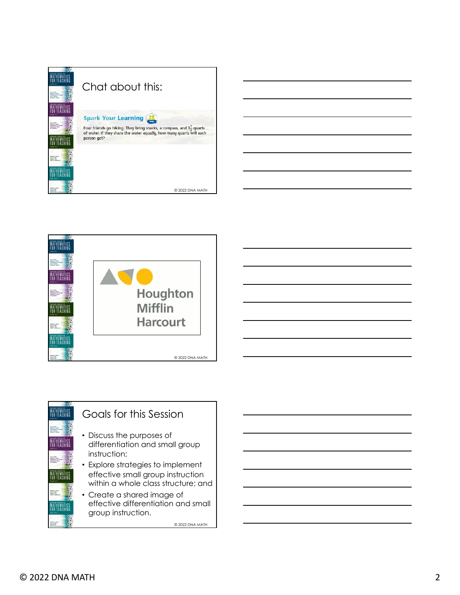| MAXIMO SEMSE O<br><b>JALK BAR</b><br><b>EDMAND C. MOLAN</b><br>THEMASEWA LOTT AGAINS<br><b><i>LEA &amp; BRANCH</i></b><br><b><i>SASAAAA A WINN</i></b>                                              | Chat about this:                                                                                                                                                                                     |
|-----------------------------------------------------------------------------------------------------------------------------------------------------------------------------------------------------|------------------------------------------------------------------------------------------------------------------------------------------------------------------------------------------------------|
| <b>MAXIMO SENSE O</b><br><b>HALF BASE</b><br><b>EDWARD C. MOLAN</b><br>THEMASENIA LOTT MEANS<br><b><i>ISSUED &amp; TRANS</i></b>                                                                    | <b>Spark Your Learning</b><br>Four friends go hiking. They bring snacks, a compass, and $3\frac{1}{2}$ quarts<br>of water. If they share the water equally, how many quarts will each<br>person get? |
| <b>EDWARD C. MOLAN</b><br>JULI 6, DIXON<br><b>NEWSFILM</b> & NEW<br><b>INSTERNATION</b><br><b>EDIMARD C. BOLAN</b><br><b>HELP WATER</b><br><b>LARTING TACK</b><br><b><i>Book Street Banders</i></b> | © 2022 DNA MATH                                                                                                                                                                                      |



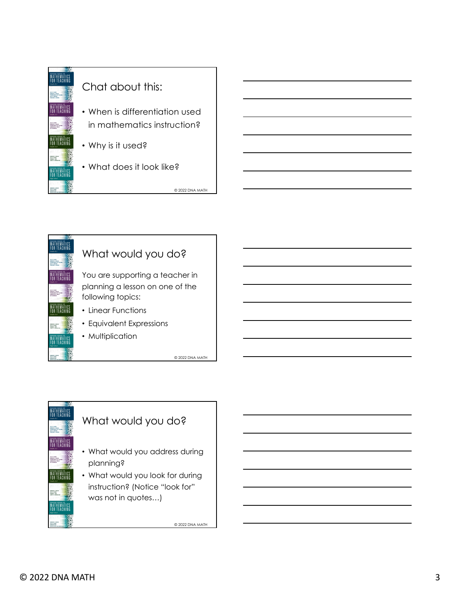



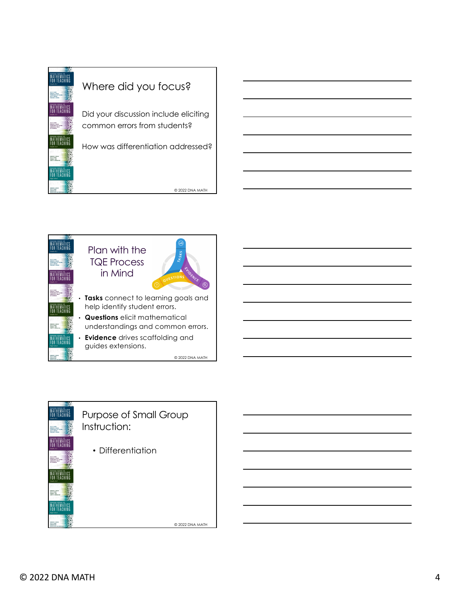



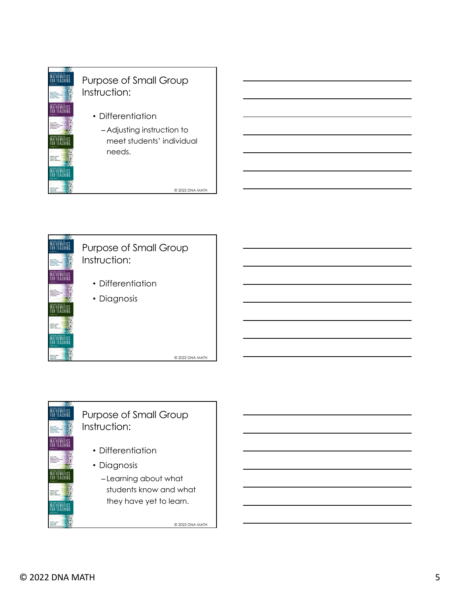



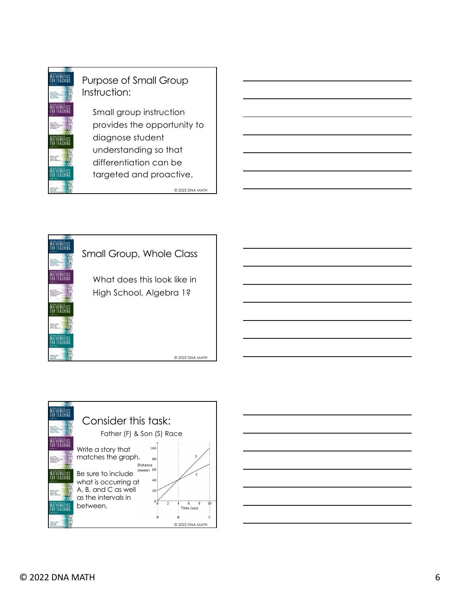





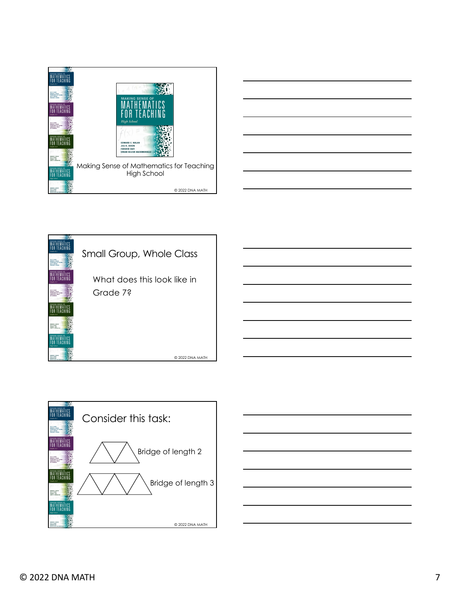







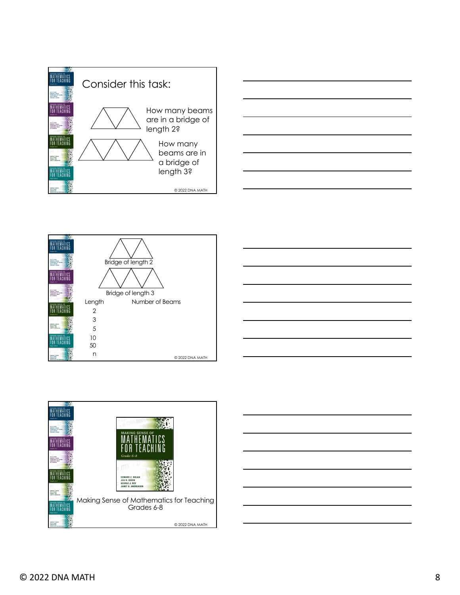









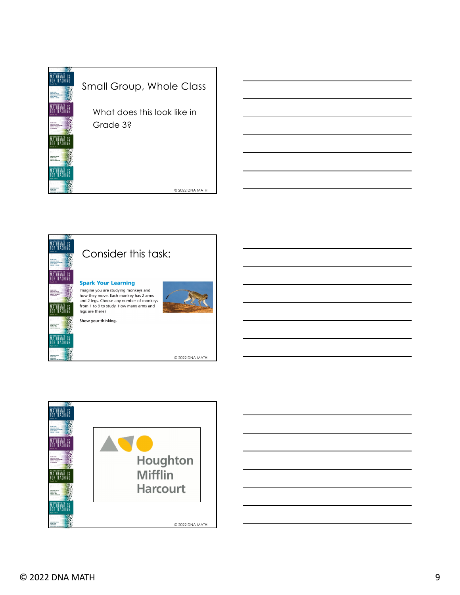





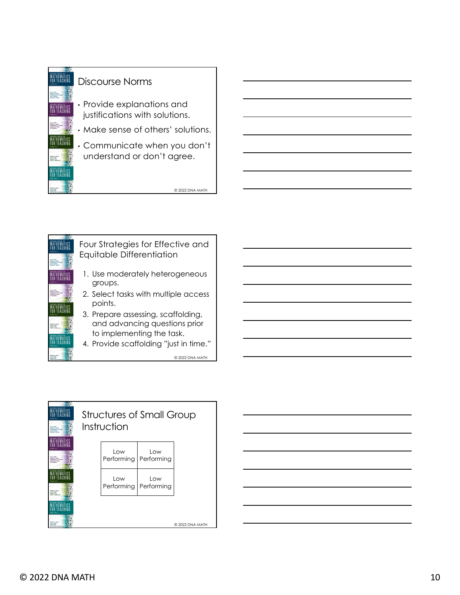





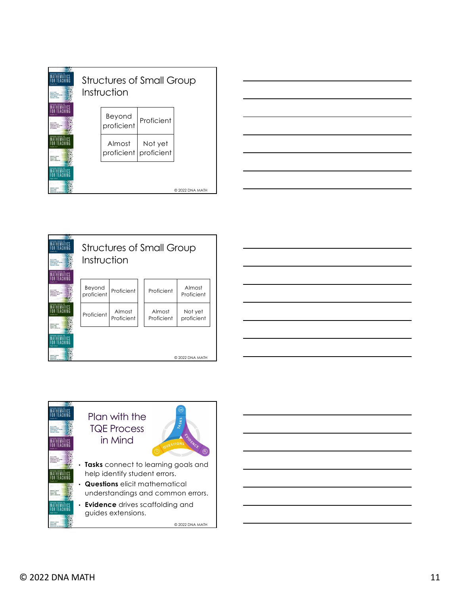